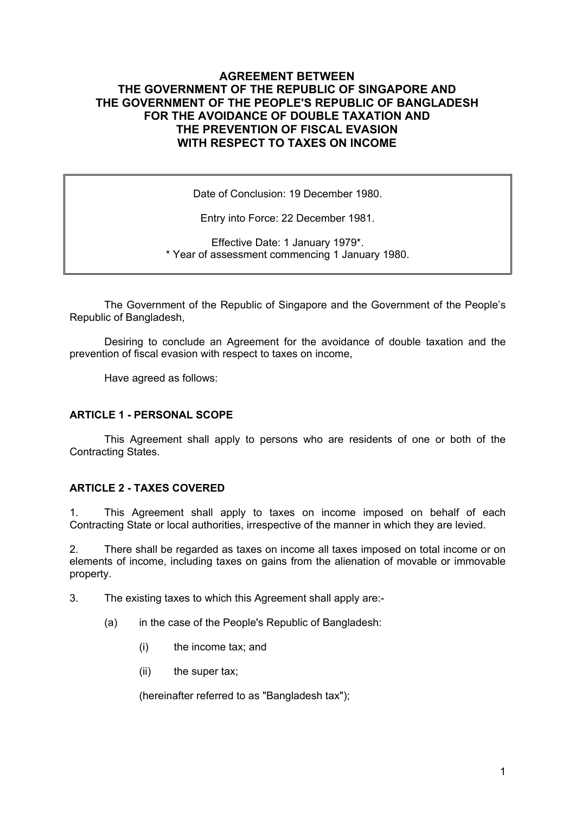## **AGREEMENT BETWEEN THE GOVERNMENT OF THE REPUBLIC OF SINGAPORE AND THE GOVERNMENT OF THE PEOPLE'S REPUBLIC OF BANGLADESH FOR THE AVOIDANCE OF DOUBLE TAXATION AND THE PREVENTION OF FISCAL EVASION WITH RESPECT TO TAXES ON INCOME**

Date of Conclusion: 19 December 1980.

Entry into Force: 22 December 1981.

Effective Date: 1 January 1979\*. \* Year of assessment commencing 1 January 1980.

The Government of the Republic of Singapore and the Government of the People's Republic of Bangladesh,

Desiring to conclude an Agreement for the avoidance of double taxation and the prevention of fiscal evasion with respect to taxes on income,

Have agreed as follows:

#### **ARTICLE 1 - PERSONAL SCOPE**

This Agreement shall apply to persons who are residents of one or both of the Contracting States.

#### **ARTICLE 2 - TAXES COVERED**

1. This Agreement shall apply to taxes on income imposed on behalf of each Contracting State or local authorities, irrespective of the manner in which they are levied.

2. There shall be regarded as taxes on income all taxes imposed on total income or on elements of income, including taxes on gains from the alienation of movable or immovable property.

3. The existing taxes to which this Agreement shall apply are:-

- (a) in the case of the People's Republic of Bangladesh:
	- (i) the income tax; and
	- (ii) the super tax;

(hereinafter referred to as "Bangladesh tax");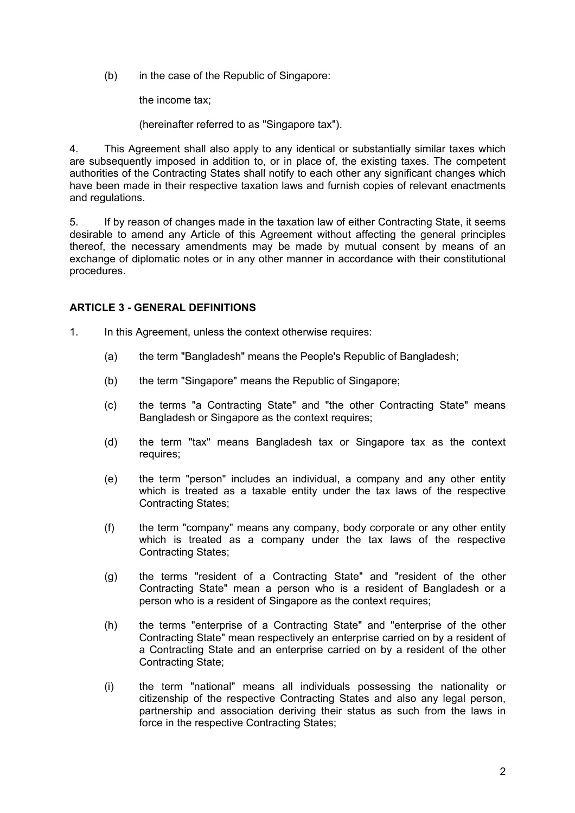(b) in the case of the Republic of Singapore:

the income tax;

(hereinafter referred to as "Singapore tax").

4. This Agreement shall also apply to any identical or substantially similar taxes which are subsequently imposed in addition to, or in place of, the existing taxes. The competent authorities of the Contracting States shall notify to each other any significant changes which have been made in their respective taxation laws and furnish copies of relevant enactments and regulations.

5. If by reason of changes made in the taxation law of either Contracting State, it seems desirable to amend any Article of this Agreement without affecting the general principles thereof, the necessary amendments may be made by mutual consent by means of an exchange of diplomatic notes or in any other manner in accordance with their constitutional procedures.

## **ARTICLE 3 - GENERAL DEFINITIONS**

- 1. In this Agreement, unless the context otherwise requires:
	- (a) the term "Bangladesh" means the People's Republic of Bangladesh;
	- (b) the term "Singapore" means the Republic of Singapore;
	- (c) the terms "a Contracting State" and "the other Contracting State" means Bangladesh or Singapore as the context requires;
	- (d) the term "tax" means Bangladesh tax or Singapore tax as the context requires;
	- (e) the term "person" includes an individual, a company and any other entity which is treated as a taxable entity under the tax laws of the respective Contracting States;
	- (f) the term "company" means any company, body corporate or any other entity which is treated as a company under the tax laws of the respective Contracting States;
	- (g) the terms "resident of a Contracting State" and "resident of the other Contracting State" mean a person who is a resident of Bangladesh or a person who is a resident of Singapore as the context requires;
	- (h) the terms "enterprise of a Contracting State" and "enterprise of the other Contracting State" mean respectively an enterprise carried on by a resident of a Contracting State and an enterprise carried on by a resident of the other Contracting State;
	- (i) the term "national" means all individuals possessing the nationality or citizenship of the respective Contracting States and also any legal person, partnership and association deriving their status as such from the laws in force in the respective Contracting States;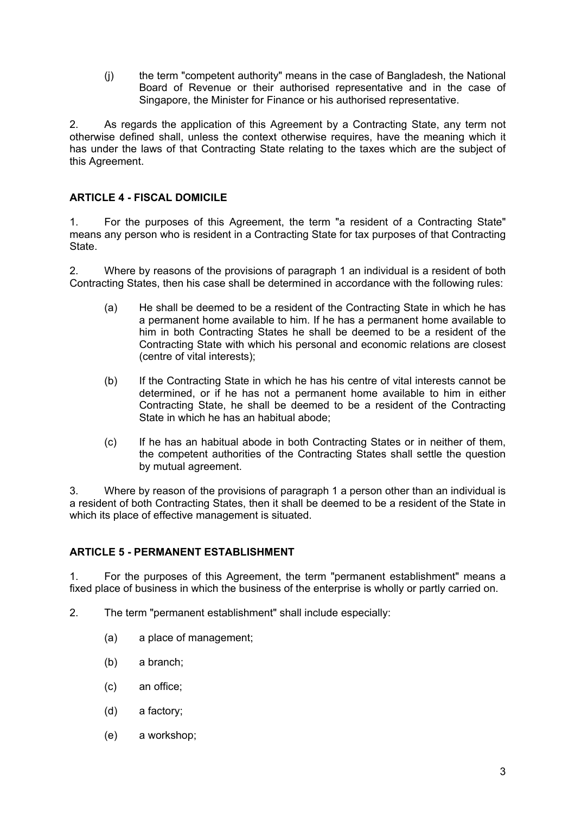(j) the term "competent authority" means in the case of Bangladesh, the National Board of Revenue or their authorised representative and in the case of Singapore, the Minister for Finance or his authorised representative.

2. As regards the application of this Agreement by a Contracting State, any term not otherwise defined shall, unless the context otherwise requires, have the meaning which it has under the laws of that Contracting State relating to the taxes which are the subject of this Agreement.

## **ARTICLE 4 - FISCAL DOMICILE**

1. For the purposes of this Agreement, the term "a resident of a Contracting State" means any person who is resident in a Contracting State for tax purposes of that Contracting State.

2. Where by reasons of the provisions of paragraph 1 an individual is a resident of both Contracting States, then his case shall be determined in accordance with the following rules:

- (a) He shall be deemed to be a resident of the Contracting State in which he has a permanent home available to him. If he has a permanent home available to him in both Contracting States he shall be deemed to be a resident of the Contracting State with which his personal and economic relations are closest (centre of vital interests);
- (b) If the Contracting State in which he has his centre of vital interests cannot be determined, or if he has not a permanent home available to him in either Contracting State, he shall be deemed to be a resident of the Contracting State in which he has an habitual abode;
- (c) If he has an habitual abode in both Contracting States or in neither of them, the competent authorities of the Contracting States shall settle the question by mutual agreement.

3. Where by reason of the provisions of paragraph 1 a person other than an individual is a resident of both Contracting States, then it shall be deemed to be a resident of the State in which its place of effective management is situated.

## **ARTICLE 5 - PERMANENT ESTABLISHMENT**

1. For the purposes of this Agreement, the term "permanent establishment" means a fixed place of business in which the business of the enterprise is wholly or partly carried on.

- 2. The term "permanent establishment" shall include especially:
	- (a) a place of management;
	- (b) a branch;
	- (c) an office;
	- (d) a factory;
	- (e) a workshop;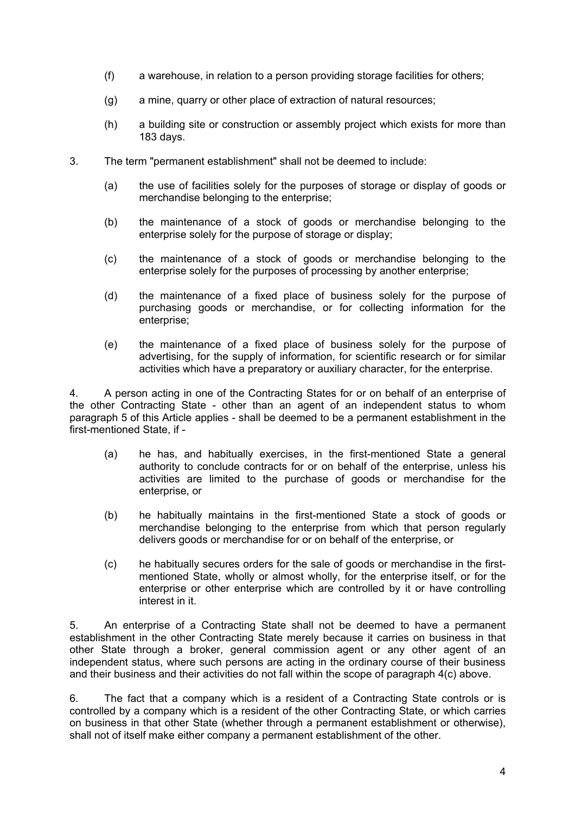- (f) a warehouse, in relation to a person providing storage facilities for others;
- (g) a mine, quarry or other place of extraction of natural resources;
- (h) a building site or construction or assembly project which exists for more than 183 days.
- 3. The term "permanent establishment" shall not be deemed to include:
	- (a) the use of facilities solely for the purposes of storage or display of goods or merchandise belonging to the enterprise;
	- (b) the maintenance of a stock of goods or merchandise belonging to the enterprise solely for the purpose of storage or display;
	- (c) the maintenance of a stock of goods or merchandise belonging to the enterprise solely for the purposes of processing by another enterprise;
	- (d) the maintenance of a fixed place of business solely for the purpose of purchasing goods or merchandise, or for collecting information for the enterprise;
	- (e) the maintenance of a fixed place of business solely for the purpose of advertising, for the supply of information, for scientific research or for similar activities which have a preparatory or auxiliary character, for the enterprise.

4. A person acting in one of the Contracting States for or on behalf of an enterprise of the other Contracting State - other than an agent of an independent status to whom paragraph 5 of this Article applies - shall be deemed to be a permanent establishment in the first-mentioned State, if -

- (a) he has, and habitually exercises, in the first-mentioned State a general authority to conclude contracts for or on behalf of the enterprise, unless his activities are limited to the purchase of goods or merchandise for the enterprise, or
- (b) he habitually maintains in the first-mentioned State a stock of goods or merchandise belonging to the enterprise from which that person regularly delivers goods or merchandise for or on behalf of the enterprise, or
- (c) he habitually secures orders for the sale of goods or merchandise in the firstmentioned State, wholly or almost wholly, for the enterprise itself, or for the enterprise or other enterprise which are controlled by it or have controlling interest in it.

5. An enterprise of a Contracting State shall not be deemed to have a permanent establishment in the other Contracting State merely because it carries on business in that other State through a broker, general commission agent or any other agent of an independent status, where such persons are acting in the ordinary course of their business and their business and their activities do not fall within the scope of paragraph 4(c) above.

6. The fact that a company which is a resident of a Contracting State controls or is controlled by a company which is a resident of the other Contracting State, or which carries on business in that other State (whether through a permanent establishment or otherwise), shall not of itself make either company a permanent establishment of the other.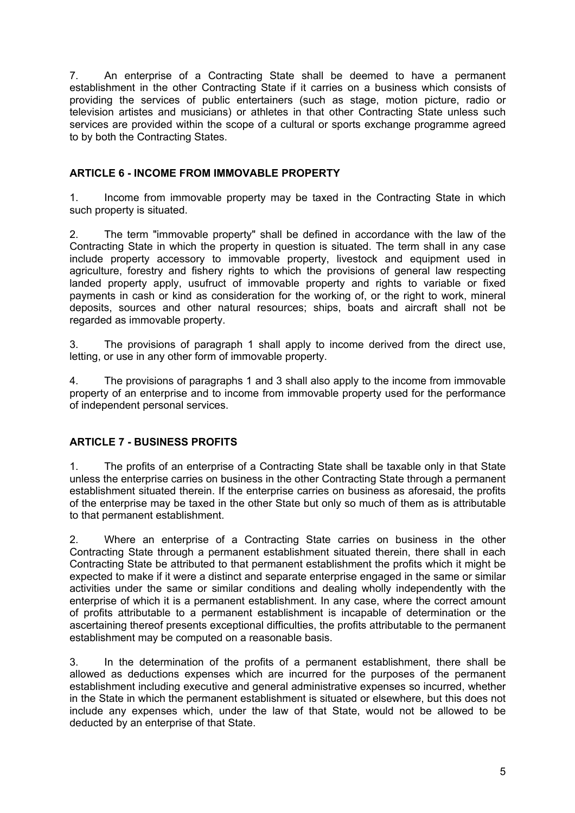7. An enterprise of a Contracting State shall be deemed to have a permanent establishment in the other Contracting State if it carries on a business which consists of providing the services of public entertainers (such as stage, motion picture, radio or television artistes and musicians) or athletes in that other Contracting State unless such services are provided within the scope of a cultural or sports exchange programme agreed to by both the Contracting States.

## **ARTICLE 6 - INCOME FROM IMMOVABLE PROPERTY**

1. Income from immovable property may be taxed in the Contracting State in which such property is situated.

2. The term "immovable property" shall be defined in accordance with the law of the Contracting State in which the property in question is situated. The term shall in any case include property accessory to immovable property, livestock and equipment used in agriculture, forestry and fishery rights to which the provisions of general law respecting landed property apply, usufruct of immovable property and rights to variable or fixed payments in cash or kind as consideration for the working of, or the right to work, mineral deposits, sources and other natural resources; ships, boats and aircraft shall not be regarded as immovable property.

3. The provisions of paragraph 1 shall apply to income derived from the direct use, letting, or use in any other form of immovable property.

4. The provisions of paragraphs 1 and 3 shall also apply to the income from immovable property of an enterprise and to income from immovable property used for the performance of independent personal services.

# **ARTICLE 7 - BUSINESS PROFITS**

1. The profits of an enterprise of a Contracting State shall be taxable only in that State unless the enterprise carries on business in the other Contracting State through a permanent establishment situated therein. If the enterprise carries on business as aforesaid, the profits of the enterprise may be taxed in the other State but only so much of them as is attributable to that permanent establishment.

2. Where an enterprise of a Contracting State carries on business in the other Contracting State through a permanent establishment situated therein, there shall in each Contracting State be attributed to that permanent establishment the profits which it might be expected to make if it were a distinct and separate enterprise engaged in the same or similar activities under the same or similar conditions and dealing wholly independently with the enterprise of which it is a permanent establishment. In any case, where the correct amount of profits attributable to a permanent establishment is incapable of determination or the ascertaining thereof presents exceptional difficulties, the profits attributable to the permanent establishment may be computed on a reasonable basis.

3. In the determination of the profits of a permanent establishment, there shall be allowed as deductions expenses which are incurred for the purposes of the permanent establishment including executive and general administrative expenses so incurred, whether in the State in which the permanent establishment is situated or elsewhere, but this does not include any expenses which, under the law of that State, would not be allowed to be deducted by an enterprise of that State.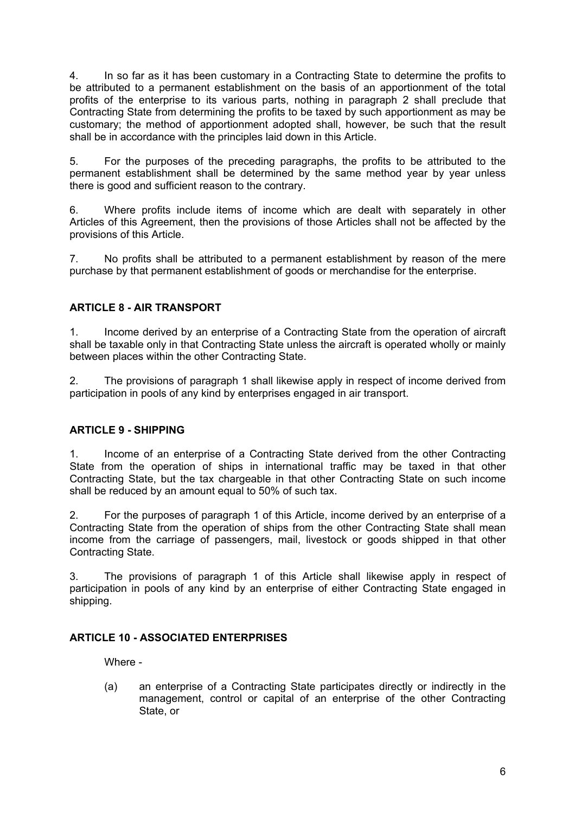4. In so far as it has been customary in a Contracting State to determine the profits to be attributed to a permanent establishment on the basis of an apportionment of the total profits of the enterprise to its various parts, nothing in paragraph 2 shall preclude that Contracting State from determining the profits to be taxed by such apportionment as may be customary; the method of apportionment adopted shall, however, be such that the result shall be in accordance with the principles laid down in this Article.

5. For the purposes of the preceding paragraphs, the profits to be attributed to the permanent establishment shall be determined by the same method year by year unless there is good and sufficient reason to the contrary.

6. Where profits include items of income which are dealt with separately in other Articles of this Agreement, then the provisions of those Articles shall not be affected by the provisions of this Article.

7. No profits shall be attributed to a permanent establishment by reason of the mere purchase by that permanent establishment of goods or merchandise for the enterprise.

## **ARTICLE 8 - AIR TRANSPORT**

1. Income derived by an enterprise of a Contracting State from the operation of aircraft shall be taxable only in that Contracting State unless the aircraft is operated wholly or mainly between places within the other Contracting State.

2. The provisions of paragraph 1 shall likewise apply in respect of income derived from participation in pools of any kind by enterprises engaged in air transport.

## **ARTICLE 9 - SHIPPING**

1. Income of an enterprise of a Contracting State derived from the other Contracting State from the operation of ships in international traffic may be taxed in that other Contracting State, but the tax chargeable in that other Contracting State on such income shall be reduced by an amount equal to 50% of such tax.

2. For the purposes of paragraph 1 of this Article, income derived by an enterprise of a Contracting State from the operation of ships from the other Contracting State shall mean income from the carriage of passengers, mail, livestock or goods shipped in that other Contracting State.

3. The provisions of paragraph 1 of this Article shall likewise apply in respect of participation in pools of any kind by an enterprise of either Contracting State engaged in shipping.

## **ARTICLE 10 - ASSOCIATED ENTERPRISES**

Where -

(a) an enterprise of a Contracting State participates directly or indirectly in the management, control or capital of an enterprise of the other Contracting State, or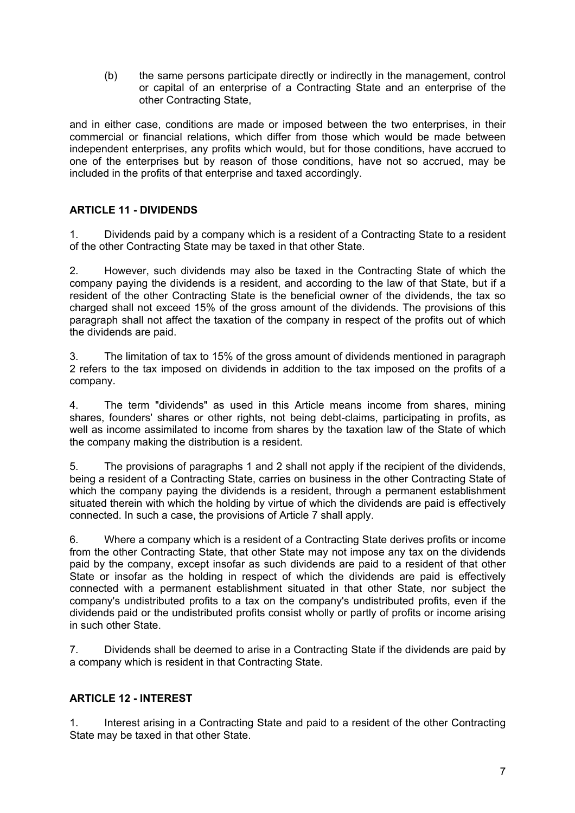(b) the same persons participate directly or indirectly in the management, control or capital of an enterprise of a Contracting State and an enterprise of the other Contracting State,

and in either case, conditions are made or imposed between the two enterprises, in their commercial or financial relations, which differ from those which would be made between independent enterprises, any profits which would, but for those conditions, have accrued to one of the enterprises but by reason of those conditions, have not so accrued, may be included in the profits of that enterprise and taxed accordingly.

# **ARTICLE 11 - DIVIDENDS**

1. Dividends paid by a company which is a resident of a Contracting State to a resident of the other Contracting State may be taxed in that other State.

2. However, such dividends may also be taxed in the Contracting State of which the company paying the dividends is a resident, and according to the law of that State, but if a resident of the other Contracting State is the beneficial owner of the dividends, the tax so charged shall not exceed 15% of the gross amount of the dividends. The provisions of this paragraph shall not affect the taxation of the company in respect of the profits out of which the dividends are paid.

3. The limitation of tax to 15% of the gross amount of dividends mentioned in paragraph 2 refers to the tax imposed on dividends in addition to the tax imposed on the profits of a company.

4. The term "dividends" as used in this Article means income from shares, mining shares, founders' shares or other rights, not being debt-claims, participating in profits, as well as income assimilated to income from shares by the taxation law of the State of which the company making the distribution is a resident.

5. The provisions of paragraphs 1 and 2 shall not apply if the recipient of the dividends, being a resident of a Contracting State, carries on business in the other Contracting State of which the company paying the dividends is a resident, through a permanent establishment situated therein with which the holding by virtue of which the dividends are paid is effectively connected. In such a case, the provisions of Article 7 shall apply.

6. Where a company which is a resident of a Contracting State derives profits or income from the other Contracting State, that other State may not impose any tax on the dividends paid by the company, except insofar as such dividends are paid to a resident of that other State or insofar as the holding in respect of which the dividends are paid is effectively connected with a permanent establishment situated in that other State, nor subject the company's undistributed profits to a tax on the company's undistributed profits, even if the dividends paid or the undistributed profits consist wholly or partly of profits or income arising in such other State.

7. Dividends shall be deemed to arise in a Contracting State if the dividends are paid by a company which is resident in that Contracting State.

## **ARTICLE 12 - INTEREST**

1. Interest arising in a Contracting State and paid to a resident of the other Contracting State may be taxed in that other State.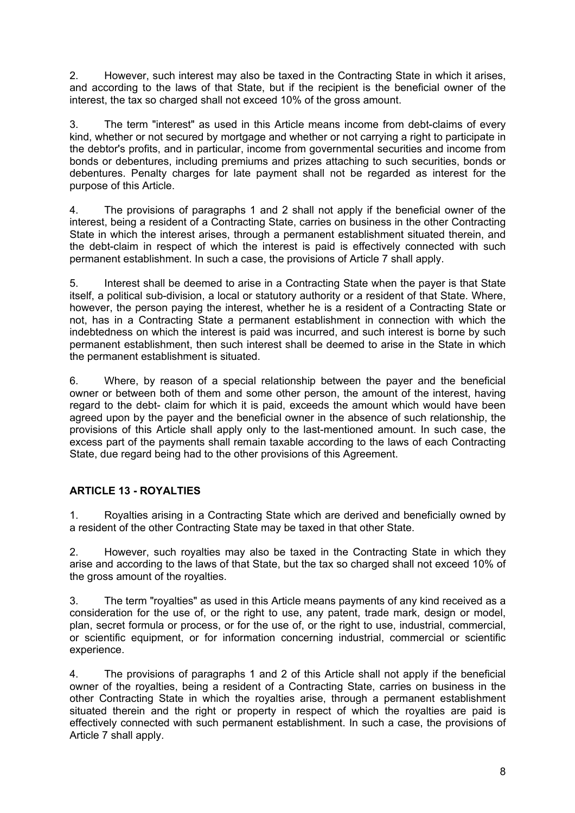2. However, such interest may also be taxed in the Contracting State in which it arises, and according to the laws of that State, but if the recipient is the beneficial owner of the interest, the tax so charged shall not exceed 10% of the gross amount.

3. The term "interest" as used in this Article means income from debt-claims of every kind, whether or not secured by mortgage and whether or not carrying a right to participate in the debtor's profits, and in particular, income from governmental securities and income from bonds or debentures, including premiums and prizes attaching to such securities, bonds or debentures. Penalty charges for late payment shall not be regarded as interest for the purpose of this Article.

4. The provisions of paragraphs 1 and 2 shall not apply if the beneficial owner of the interest, being a resident of a Contracting State, carries on business in the other Contracting State in which the interest arises, through a permanent establishment situated therein, and the debt-claim in respect of which the interest is paid is effectively connected with such permanent establishment. In such a case, the provisions of Article 7 shall apply.

5. Interest shall be deemed to arise in a Contracting State when the payer is that State itself, a political sub-division, a local or statutory authority or a resident of that State. Where, however, the person paying the interest, whether he is a resident of a Contracting State or not, has in a Contracting State a permanent establishment in connection with which the indebtedness on which the interest is paid was incurred, and such interest is borne by such permanent establishment, then such interest shall be deemed to arise in the State in which the permanent establishment is situated.

6. Where, by reason of a special relationship between the payer and the beneficial owner or between both of them and some other person, the amount of the interest, having regard to the debt- claim for which it is paid, exceeds the amount which would have been agreed upon by the payer and the beneficial owner in the absence of such relationship, the provisions of this Article shall apply only to the last-mentioned amount. In such case, the excess part of the payments shall remain taxable according to the laws of each Contracting State, due regard being had to the other provisions of this Agreement.

# **ARTICLE 13 - ROYALTIES**

1. Royalties arising in a Contracting State which are derived and beneficially owned by a resident of the other Contracting State may be taxed in that other State.

2. However, such royalties may also be taxed in the Contracting State in which they arise and according to the laws of that State, but the tax so charged shall not exceed 10% of the gross amount of the royalties.

3. The term "royalties" as used in this Article means payments of any kind received as a consideration for the use of, or the right to use, any patent, trade mark, design or model, plan, secret formula or process, or for the use of, or the right to use, industrial, commercial, or scientific equipment, or for information concerning industrial, commercial or scientific experience.

4. The provisions of paragraphs 1 and 2 of this Article shall not apply if the beneficial owner of the royalties, being a resident of a Contracting State, carries on business in the other Contracting State in which the royalties arise, through a permanent establishment situated therein and the right or property in respect of which the royalties are paid is effectively connected with such permanent establishment. In such a case, the provisions of Article 7 shall apply.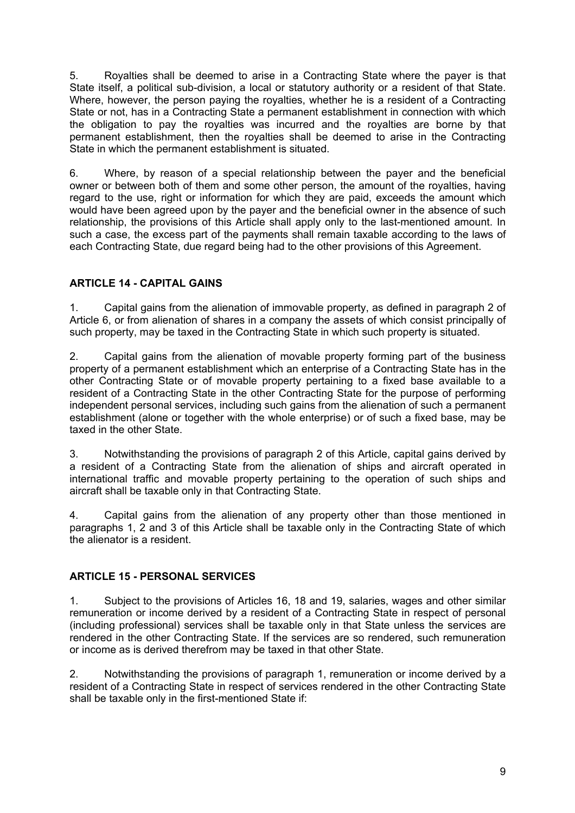5. Royalties shall be deemed to arise in a Contracting State where the payer is that State itself, a political sub-division, a local or statutory authority or a resident of that State. Where, however, the person paying the royalties, whether he is a resident of a Contracting State or not, has in a Contracting State a permanent establishment in connection with which the obligation to pay the royalties was incurred and the royalties are borne by that permanent establishment, then the royalties shall be deemed to arise in the Contracting State in which the permanent establishment is situated.

6. Where, by reason of a special relationship between the payer and the beneficial owner or between both of them and some other person, the amount of the royalties, having regard to the use, right or information for which they are paid, exceeds the amount which would have been agreed upon by the payer and the beneficial owner in the absence of such relationship, the provisions of this Article shall apply only to the last-mentioned amount. In such a case, the excess part of the payments shall remain taxable according to the laws of each Contracting State, due regard being had to the other provisions of this Agreement.

## **ARTICLE 14 - CAPITAL GAINS**

1. Capital gains from the alienation of immovable property, as defined in paragraph 2 of Article 6, or from alienation of shares in a company the assets of which consist principally of such property, may be taxed in the Contracting State in which such property is situated.

2. Capital gains from the alienation of movable property forming part of the business property of a permanent establishment which an enterprise of a Contracting State has in the other Contracting State or of movable property pertaining to a fixed base available to a resident of a Contracting State in the other Contracting State for the purpose of performing independent personal services, including such gains from the alienation of such a permanent establishment (alone or together with the whole enterprise) or of such a fixed base, may be taxed in the other State.

3. Notwithstanding the provisions of paragraph 2 of this Article, capital gains derived by a resident of a Contracting State from the alienation of ships and aircraft operated in international traffic and movable property pertaining to the operation of such ships and aircraft shall be taxable only in that Contracting State.

4. Capital gains from the alienation of any property other than those mentioned in paragraphs 1, 2 and 3 of this Article shall be taxable only in the Contracting State of which the alienator is a resident.

## **ARTICLE 15 - PERSONAL SERVICES**

1. Subject to the provisions of Articles 16, 18 and 19, salaries, wages and other similar remuneration or income derived by a resident of a Contracting State in respect of personal (including professional) services shall be taxable only in that State unless the services are rendered in the other Contracting State. If the services are so rendered, such remuneration or income as is derived therefrom may be taxed in that other State.

2. Notwithstanding the provisions of paragraph 1, remuneration or income derived by a resident of a Contracting State in respect of services rendered in the other Contracting State shall be taxable only in the first-mentioned State if: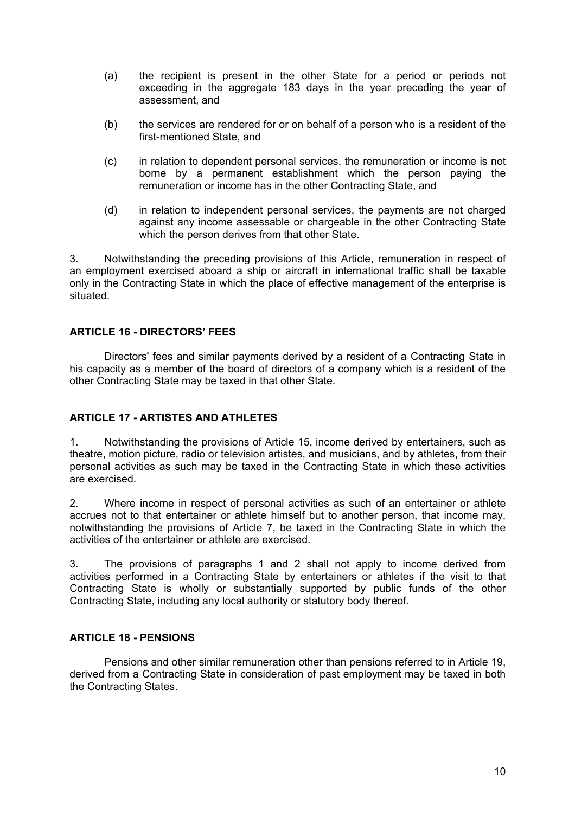- (a) the recipient is present in the other State for a period or periods not exceeding in the aggregate 183 days in the year preceding the year of assessment, and
- (b) the services are rendered for or on behalf of a person who is a resident of the first-mentioned State, and
- (c) in relation to dependent personal services, the remuneration or income is not borne by a permanent establishment which the person paying the remuneration or income has in the other Contracting State, and
- (d) in relation to independent personal services, the payments are not charged against any income assessable or chargeable in the other Contracting State which the person derives from that other State.

3. Notwithstanding the preceding provisions of this Article, remuneration in respect of an employment exercised aboard a ship or aircraft in international traffic shall be taxable only in the Contracting State in which the place of effective management of the enterprise is situated.

## **ARTICLE 16 - DIRECTORS' FEES**

Directors' fees and similar payments derived by a resident of a Contracting State in his capacity as a member of the board of directors of a company which is a resident of the other Contracting State may be taxed in that other State.

#### **ARTICLE 17 - ARTISTES AND ATHLETES**

1. Notwithstanding the provisions of Article 15, income derived by entertainers, such as theatre, motion picture, radio or television artistes, and musicians, and by athletes, from their personal activities as such may be taxed in the Contracting State in which these activities are exercised.

2. Where income in respect of personal activities as such of an entertainer or athlete accrues not to that entertainer or athlete himself but to another person, that income may, notwithstanding the provisions of Article 7, be taxed in the Contracting State in which the activities of the entertainer or athlete are exercised.

3. The provisions of paragraphs 1 and 2 shall not apply to income derived from activities performed in a Contracting State by entertainers or athletes if the visit to that Contracting State is wholly or substantially supported by public funds of the other Contracting State, including any local authority or statutory body thereof.

#### **ARTICLE 18 - PENSIONS**

Pensions and other similar remuneration other than pensions referred to in Article 19, derived from a Contracting State in consideration of past employment may be taxed in both the Contracting States.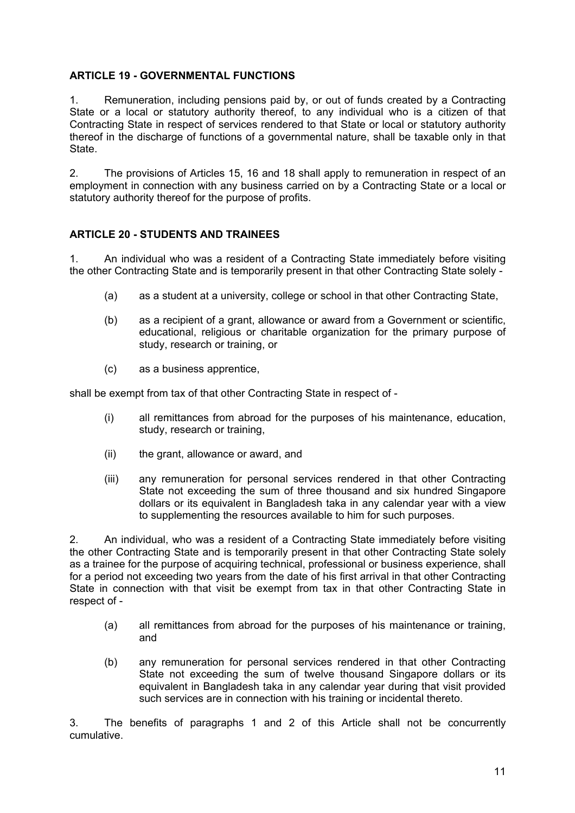### **ARTICLE 19 - GOVERNMENTAL FUNCTIONS**

1. Remuneration, including pensions paid by, or out of funds created by a Contracting State or a local or statutory authority thereof, to any individual who is a citizen of that Contracting State in respect of services rendered to that State or local or statutory authority thereof in the discharge of functions of a governmental nature, shall be taxable only in that **State.** 

2. The provisions of Articles 15, 16 and 18 shall apply to remuneration in respect of an employment in connection with any business carried on by a Contracting State or a local or statutory authority thereof for the purpose of profits.

### **ARTICLE 20 - STUDENTS AND TRAINEES**

1. An individual who was a resident of a Contracting State immediately before visiting the other Contracting State and is temporarily present in that other Contracting State solely -

- (a) as a student at a university, college or school in that other Contracting State,
- (b) as a recipient of a grant, allowance or award from a Government or scientific, educational, religious or charitable organization for the primary purpose of study, research or training, or
- (c) as a business apprentice,

shall be exempt from tax of that other Contracting State in respect of -

- (i) all remittances from abroad for the purposes of his maintenance, education, study, research or training,
- (ii) the grant, allowance or award, and
- (iii) any remuneration for personal services rendered in that other Contracting State not exceeding the sum of three thousand and six hundred Singapore dollars or its equivalent in Bangladesh taka in any calendar year with a view to supplementing the resources available to him for such purposes.

2. An individual, who was a resident of a Contracting State immediately before visiting the other Contracting State and is temporarily present in that other Contracting State solely as a trainee for the purpose of acquiring technical, professional or business experience, shall for a period not exceeding two years from the date of his first arrival in that other Contracting State in connection with that visit be exempt from tax in that other Contracting State in respect of -

- (a) all remittances from abroad for the purposes of his maintenance or training, and
- (b) any remuneration for personal services rendered in that other Contracting State not exceeding the sum of twelve thousand Singapore dollars or its equivalent in Bangladesh taka in any calendar year during that visit provided such services are in connection with his training or incidental thereto.

3. The benefits of paragraphs 1 and 2 of this Article shall not be concurrently cumulative.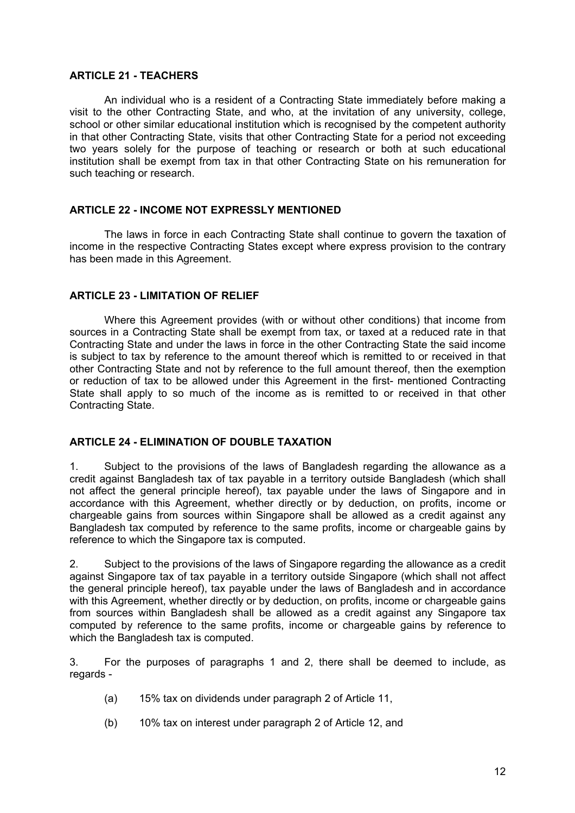#### **ARTICLE 21 - TEACHERS**

An individual who is a resident of a Contracting State immediately before making a visit to the other Contracting State, and who, at the invitation of any university, college, school or other similar educational institution which is recognised by the competent authority in that other Contracting State, visits that other Contracting State for a period not exceeding two years solely for the purpose of teaching or research or both at such educational institution shall be exempt from tax in that other Contracting State on his remuneration for such teaching or research.

#### **ARTICLE 22 - INCOME NOT EXPRESSLY MENTIONED**

The laws in force in each Contracting State shall continue to govern the taxation of income in the respective Contracting States except where express provision to the contrary has been made in this Agreement.

#### **ARTICLE 23 - LIMITATION OF RELIEF**

Where this Agreement provides (with or without other conditions) that income from sources in a Contracting State shall be exempt from tax, or taxed at a reduced rate in that Contracting State and under the laws in force in the other Contracting State the said income is subject to tax by reference to the amount thereof which is remitted to or received in that other Contracting State and not by reference to the full amount thereof, then the exemption or reduction of tax to be allowed under this Agreement in the first- mentioned Contracting State shall apply to so much of the income as is remitted to or received in that other Contracting State.

#### **ARTICLE 24 - ELIMINATION OF DOUBLE TAXATION**

1. Subject to the provisions of the laws of Bangladesh regarding the allowance as a credit against Bangladesh tax of tax payable in a territory outside Bangladesh (which shall not affect the general principle hereof), tax payable under the laws of Singapore and in accordance with this Agreement, whether directly or by deduction, on profits, income or chargeable gains from sources within Singapore shall be allowed as a credit against any Bangladesh tax computed by reference to the same profits, income or chargeable gains by reference to which the Singapore tax is computed.

2. Subject to the provisions of the laws of Singapore regarding the allowance as a credit against Singapore tax of tax payable in a territory outside Singapore (which shall not affect the general principle hereof), tax payable under the laws of Bangladesh and in accordance with this Agreement, whether directly or by deduction, on profits, income or chargeable gains from sources within Bangladesh shall be allowed as a credit against any Singapore tax computed by reference to the same profits, income or chargeable gains by reference to which the Bangladesh tax is computed.

3. For the purposes of paragraphs 1 and 2, there shall be deemed to include, as regards -

- (a) 15% tax on dividends under paragraph 2 of Article 11,
- (b) 10% tax on interest under paragraph 2 of Article 12, and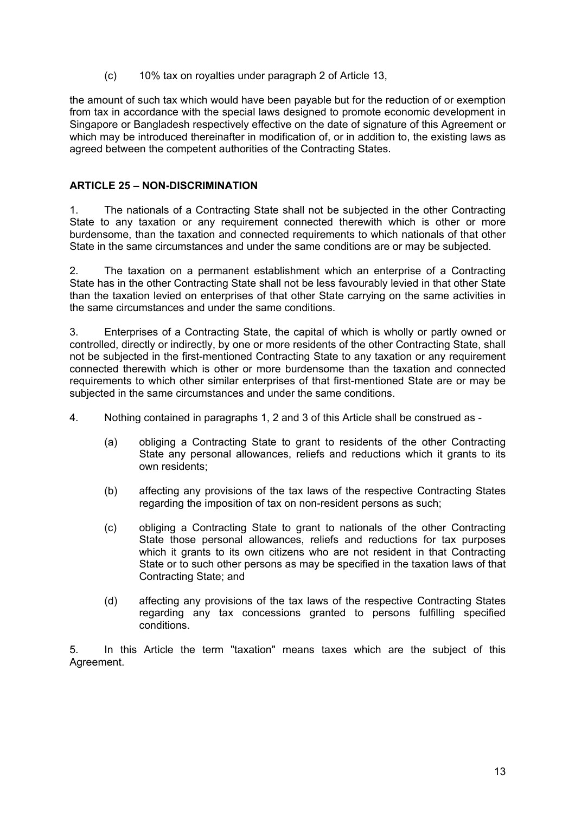(c) 10% tax on royalties under paragraph 2 of Article 13,

the amount of such tax which would have been payable but for the reduction of or exemption from tax in accordance with the special laws designed to promote economic development in Singapore or Bangladesh respectively effective on the date of signature of this Agreement or which may be introduced thereinafter in modification of, or in addition to, the existing laws as agreed between the competent authorities of the Contracting States.

### **ARTICLE 25 – NON-DISCRIMINATION**

1. The nationals of a Contracting State shall not be subjected in the other Contracting State to any taxation or any requirement connected therewith which is other or more burdensome, than the taxation and connected requirements to which nationals of that other State in the same circumstances and under the same conditions are or may be subjected.

2. The taxation on a permanent establishment which an enterprise of a Contracting State has in the other Contracting State shall not be less favourably levied in that other State than the taxation levied on enterprises of that other State carrying on the same activities in the same circumstances and under the same conditions.

3. Enterprises of a Contracting State, the capital of which is wholly or partly owned or controlled, directly or indirectly, by one or more residents of the other Contracting State, shall not be subjected in the first-mentioned Contracting State to any taxation or any requirement connected therewith which is other or more burdensome than the taxation and connected requirements to which other similar enterprises of that first-mentioned State are or may be subjected in the same circumstances and under the same conditions.

- 4. Nothing contained in paragraphs 1, 2 and 3 of this Article shall be construed as
	- (a) obliging a Contracting State to grant to residents of the other Contracting State any personal allowances, reliefs and reductions which it grants to its own residents;
	- (b) affecting any provisions of the tax laws of the respective Contracting States regarding the imposition of tax on non-resident persons as such;
	- (c) obliging a Contracting State to grant to nationals of the other Contracting State those personal allowances, reliefs and reductions for tax purposes which it grants to its own citizens who are not resident in that Contracting State or to such other persons as may be specified in the taxation laws of that Contracting State; and
	- (d) affecting any provisions of the tax laws of the respective Contracting States regarding any tax concessions granted to persons fulfilling specified conditions.

5. In this Article the term "taxation" means taxes which are the subject of this Agreement.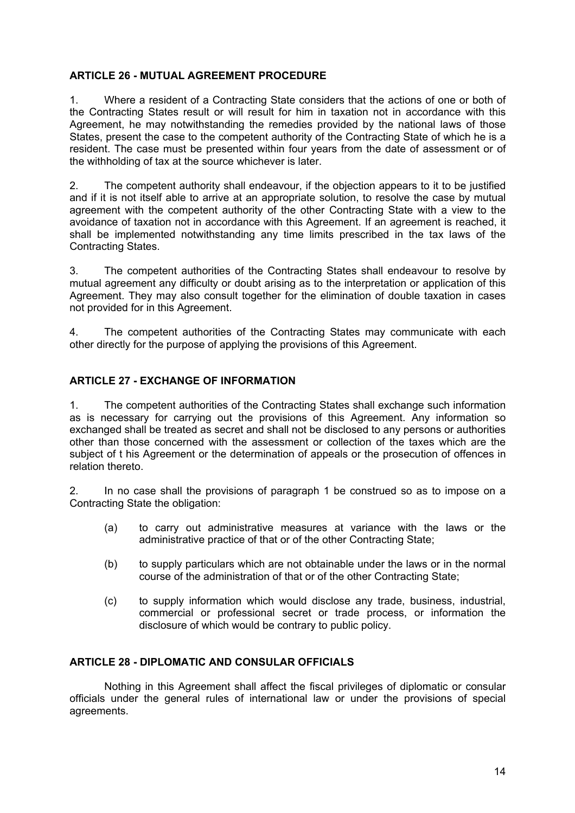#### **ARTICLE 26 - MUTUAL AGREEMENT PROCEDURE**

1. Where a resident of a Contracting State considers that the actions of one or both of the Contracting States result or will result for him in taxation not in accordance with this Agreement, he may notwithstanding the remedies provided by the national laws of those States, present the case to the competent authority of the Contracting State of which he is a resident. The case must be presented within four years from the date of assessment or of the withholding of tax at the source whichever is later.

2. The competent authority shall endeavour, if the objection appears to it to be justified and if it is not itself able to arrive at an appropriate solution, to resolve the case by mutual agreement with the competent authority of the other Contracting State with a view to the avoidance of taxation not in accordance with this Agreement. If an agreement is reached, it shall be implemented notwithstanding any time limits prescribed in the tax laws of the Contracting States.

3. The competent authorities of the Contracting States shall endeavour to resolve by mutual agreement any difficulty or doubt arising as to the interpretation or application of this Agreement. They may also consult together for the elimination of double taxation in cases not provided for in this Agreement.

4. The competent authorities of the Contracting States may communicate with each other directly for the purpose of applying the provisions of this Agreement.

### **ARTICLE 27 - EXCHANGE OF INFORMATION**

1. The competent authorities of the Contracting States shall exchange such information as is necessary for carrying out the provisions of this Agreement. Any information so exchanged shall be treated as secret and shall not be disclosed to any persons or authorities other than those concerned with the assessment or collection of the taxes which are the subject of t his Agreement or the determination of appeals or the prosecution of offences in relation thereto.

2. In no case shall the provisions of paragraph 1 be construed so as to impose on a Contracting State the obligation:

- (a) to carry out administrative measures at variance with the laws or the administrative practice of that or of the other Contracting State;
- (b) to supply particulars which are not obtainable under the laws or in the normal course of the administration of that or of the other Contracting State;
- (c) to supply information which would disclose any trade, business, industrial, commercial or professional secret or trade process, or information the disclosure of which would be contrary to public policy.

#### **ARTICLE 28 - DIPLOMATIC AND CONSULAR OFFICIALS**

Nothing in this Agreement shall affect the fiscal privileges of diplomatic or consular officials under the general rules of international law or under the provisions of special agreements.